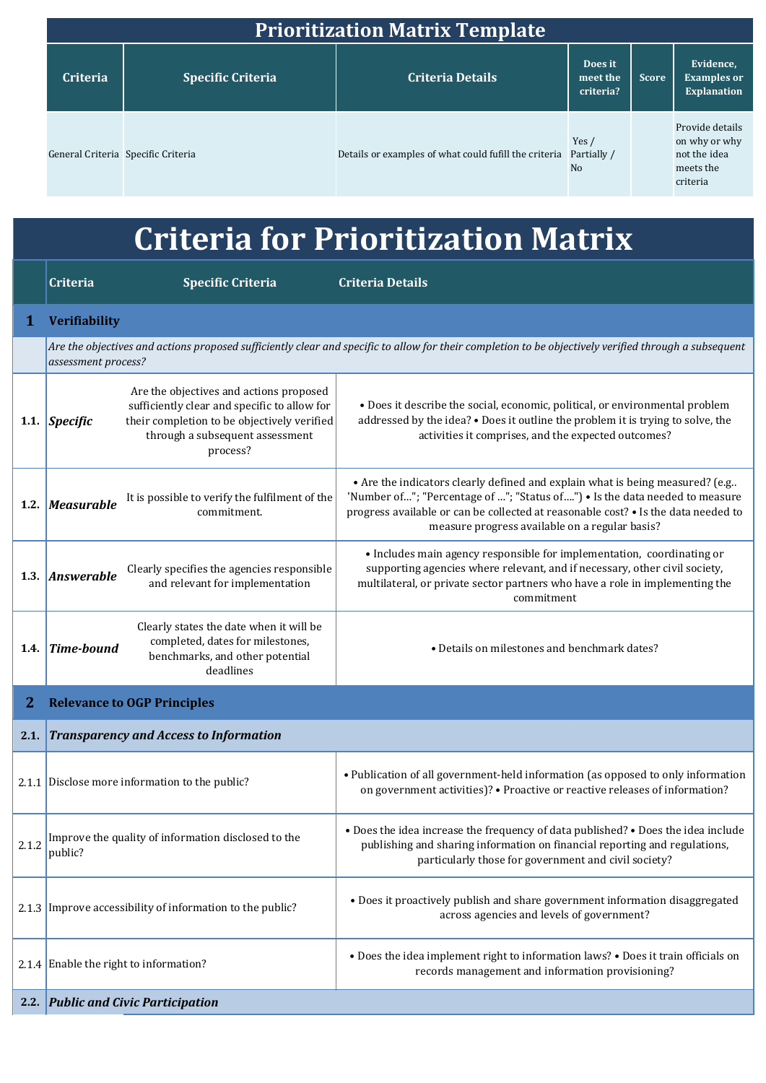| <b>Prioritization Matrix Template</b> |                          |                                                       |                                        |              |                                                                           |  |  |
|---------------------------------------|--------------------------|-------------------------------------------------------|----------------------------------------|--------------|---------------------------------------------------------------------------|--|--|
| <b>Criteria</b>                       | <b>Specific Criteria</b> | <b>Criteria Details</b>                               | Does it<br>meet the<br>criteria?       | <b>Score</b> | Evidence,<br><b>Examples or</b><br><b>Explanation</b>                     |  |  |
| General Criteria Specific Criteria    |                          | Details or examples of what could fufill the criteria | Yes /<br>Partially /<br>N <sub>0</sub> |              | Provide details<br>on why or why<br>not the idea<br>meets the<br>criteria |  |  |

## **Criteria for Prioritization Matrix**

|             | Criteria                                                                                                                                                                     | <b>Specific Criteria</b>                                                                                                                                                              | <b>Criteria Details</b>                                                                                                                                                                                                                                                                              |  |  |  |  |
|-------------|------------------------------------------------------------------------------------------------------------------------------------------------------------------------------|---------------------------------------------------------------------------------------------------------------------------------------------------------------------------------------|------------------------------------------------------------------------------------------------------------------------------------------------------------------------------------------------------------------------------------------------------------------------------------------------------|--|--|--|--|
| $\mathbf 1$ | <b>Verifiability</b>                                                                                                                                                         |                                                                                                                                                                                       |                                                                                                                                                                                                                                                                                                      |  |  |  |  |
|             | Are the objectives and actions proposed sufficiently clear and specific to allow for their completion to be objectively verified through a subsequent<br>assessment process? |                                                                                                                                                                                       |                                                                                                                                                                                                                                                                                                      |  |  |  |  |
|             | 1.1. Specific                                                                                                                                                                | Are the objectives and actions proposed<br>sufficiently clear and specific to allow for<br>their completion to be objectively verified<br>through a subsequent assessment<br>process? | • Does it describe the social, economic, political, or environmental problem<br>addressed by the idea? . Does it outline the problem it is trying to solve, the<br>activities it comprises, and the expected outcomes?                                                                               |  |  |  |  |
|             | 1.2. Measurable                                                                                                                                                              | It is possible to verify the fulfilment of the<br>commitment.                                                                                                                         | • Are the indicators clearly defined and explain what is being measured? (e.g<br>'Number of"; "Percentage of "; "Status of") . Is the data needed to measure<br>progress available or can be collected at reasonable cost? • Is the data needed to<br>measure progress available on a regular basis? |  |  |  |  |
|             | 1.3. Answerable                                                                                                                                                              | Clearly specifies the agencies responsible<br>and relevant for implementation                                                                                                         | · Includes main agency responsible for implementation, coordinating or<br>supporting agencies where relevant, and if necessary, other civil society,<br>multilateral, or private sector partners who have a role in implementing the<br>commitment                                                   |  |  |  |  |
| 1.4.        | Time-bound                                                                                                                                                                   | Clearly states the date when it will be<br>completed, dates for milestones,<br>benchmarks, and other potential<br>deadlines                                                           | • Details on milestones and benchmark dates?                                                                                                                                                                                                                                                         |  |  |  |  |
| 2           |                                                                                                                                                                              | <b>Relevance to OGP Principles</b>                                                                                                                                                    |                                                                                                                                                                                                                                                                                                      |  |  |  |  |
| 2.1.        | <b>Transparency and Access to Information</b>                                                                                                                                |                                                                                                                                                                                       |                                                                                                                                                                                                                                                                                                      |  |  |  |  |
|             |                                                                                                                                                                              | 2.1.1 Disclose more information to the public?                                                                                                                                        | • Publication of all government-held information (as opposed to only information<br>on government activities)? • Proactive or reactive releases of information?                                                                                                                                      |  |  |  |  |
|             | public?                                                                                                                                                                      | 2.1.2 Improve the quality of information disclosed to the                                                                                                                             | . Does the idea increase the frequency of data published? . Does the idea include<br>publishing and sharing information on financial reporting and regulations,<br>particularly those for government and civil society?                                                                              |  |  |  |  |
|             |                                                                                                                                                                              | 2.1.3 Improve accessibility of information to the public?                                                                                                                             | • Does it proactively publish and share government information disaggregated<br>across agencies and levels of government?                                                                                                                                                                            |  |  |  |  |
|             |                                                                                                                                                                              | 2.1.4 Enable the right to information?                                                                                                                                                | • Does the idea implement right to information laws? • Does it train officials on<br>records management and information provisioning?                                                                                                                                                                |  |  |  |  |
| 2.2.        |                                                                                                                                                                              | <b>Public and Civic Participation</b>                                                                                                                                                 |                                                                                                                                                                                                                                                                                                      |  |  |  |  |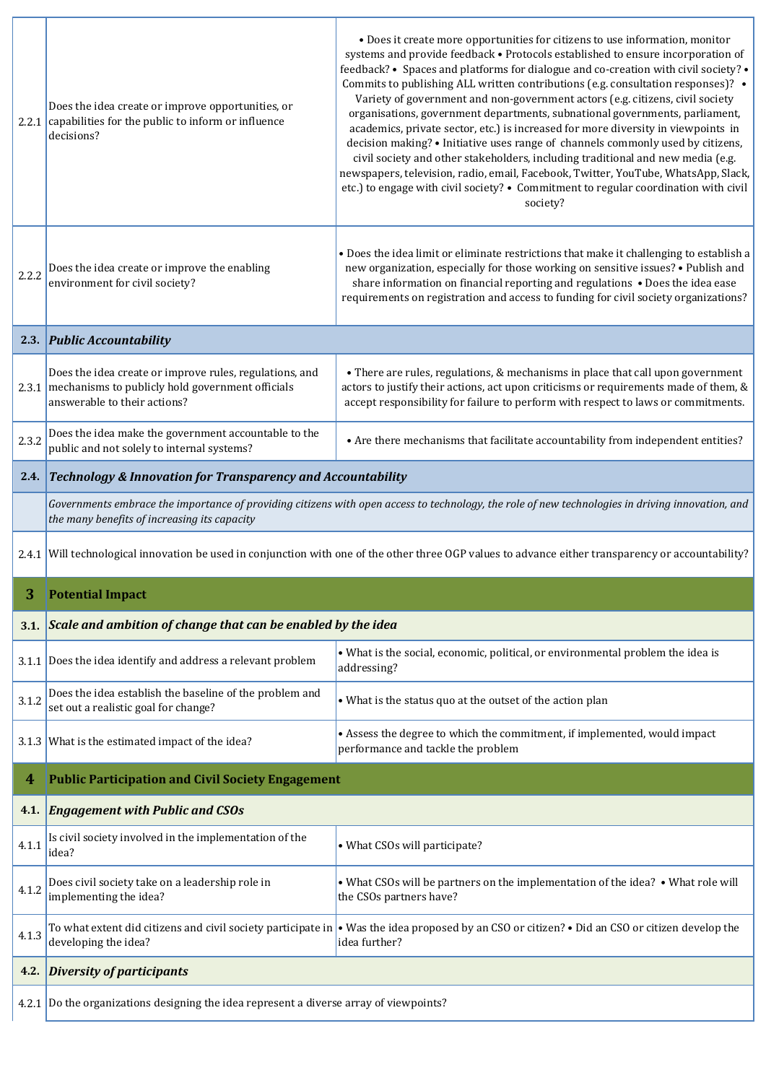|       | Does the idea create or improve opportunities, or<br>2.2.1 capabilities for the public to inform or influence<br>decisions?                                                                      | • Does it create more opportunities for citizens to use information, monitor<br>systems and provide feedback . Protocols established to ensure incorporation of<br>feedback? • Spaces and platforms for dialogue and co-creation with civil society? •<br>Commits to publishing ALL written contributions (e.g. consultation responses)? .<br>Variety of government and non-government actors (e.g. citizens, civil society<br>organisations, government departments, subnational governments, parliament,<br>academics, private sector, etc.) is increased for more diversity in viewpoints in<br>decision making? • Initiative uses range of channels commonly used by citizens,<br>civil society and other stakeholders, including traditional and new media (e.g.<br>newspapers, television, radio, email, Facebook, Twitter, YouTube, WhatsApp, Slack,<br>etc.) to engage with civil society? • Commitment to regular coordination with civil<br>society? |  |  |  |  |
|-------|--------------------------------------------------------------------------------------------------------------------------------------------------------------------------------------------------|----------------------------------------------------------------------------------------------------------------------------------------------------------------------------------------------------------------------------------------------------------------------------------------------------------------------------------------------------------------------------------------------------------------------------------------------------------------------------------------------------------------------------------------------------------------------------------------------------------------------------------------------------------------------------------------------------------------------------------------------------------------------------------------------------------------------------------------------------------------------------------------------------------------------------------------------------------------|--|--|--|--|
| 2.2.2 | Does the idea create or improve the enabling<br>environment for civil society?                                                                                                                   | • Does the idea limit or eliminate restrictions that make it challenging to establish a<br>new organization, especially for those working on sensitive issues? • Publish and<br>share information on financial reporting and regulations . Does the idea ease<br>requirements on registration and access to funding for civil society organizations?                                                                                                                                                                                                                                                                                                                                                                                                                                                                                                                                                                                                           |  |  |  |  |
|       | 2.3. Public Accountability                                                                                                                                                                       |                                                                                                                                                                                                                                                                                                                                                                                                                                                                                                                                                                                                                                                                                                                                                                                                                                                                                                                                                                |  |  |  |  |
|       | Does the idea create or improve rules, regulations, and<br>2.3.1 mechanisms to publicly hold government officials<br>answerable to their actions?                                                | • There are rules, regulations, & mechanisms in place that call upon government<br>actors to justify their actions, act upon criticisms or requirements made of them, &<br>accept responsibility for failure to perform with respect to laws or commitments.                                                                                                                                                                                                                                                                                                                                                                                                                                                                                                                                                                                                                                                                                                   |  |  |  |  |
| 2.3.2 | Does the idea make the government accountable to the<br>public and not solely to internal systems?                                                                                               | • Are there mechanisms that facilitate accountability from independent entities?                                                                                                                                                                                                                                                                                                                                                                                                                                                                                                                                                                                                                                                                                                                                                                                                                                                                               |  |  |  |  |
| 2.4.  |                                                                                                                                                                                                  | <b>Technology &amp; Innovation for Transparency and Accountability</b>                                                                                                                                                                                                                                                                                                                                                                                                                                                                                                                                                                                                                                                                                                                                                                                                                                                                                         |  |  |  |  |
|       | Governments embrace the importance of providing citizens with open access to technology, the role of new technologies in driving innovation, and<br>the many benefits of increasing its capacity |                                                                                                                                                                                                                                                                                                                                                                                                                                                                                                                                                                                                                                                                                                                                                                                                                                                                                                                                                                |  |  |  |  |
| 2.4.1 | Will technological innovation be used in conjunction with one of the other three OGP values to advance either transparency or accountability?                                                    |                                                                                                                                                                                                                                                                                                                                                                                                                                                                                                                                                                                                                                                                                                                                                                                                                                                                                                                                                                |  |  |  |  |
| 3     | <b>Potential Impact</b>                                                                                                                                                                          |                                                                                                                                                                                                                                                                                                                                                                                                                                                                                                                                                                                                                                                                                                                                                                                                                                                                                                                                                                |  |  |  |  |
| 3.1.  | Scale and ambition of change that can be enabled by the idea                                                                                                                                     |                                                                                                                                                                                                                                                                                                                                                                                                                                                                                                                                                                                                                                                                                                                                                                                                                                                                                                                                                                |  |  |  |  |
| 3.1.1 | Does the idea identify and address a relevant problem                                                                                                                                            | . What is the social, economic, political, or environmental problem the idea is<br>addressing?                                                                                                                                                                                                                                                                                                                                                                                                                                                                                                                                                                                                                                                                                                                                                                                                                                                                 |  |  |  |  |
| 3.1.2 | Does the idea establish the baseline of the problem and<br>set out a realistic goal for change?                                                                                                  | • What is the status quo at the outset of the action plan                                                                                                                                                                                                                                                                                                                                                                                                                                                                                                                                                                                                                                                                                                                                                                                                                                                                                                      |  |  |  |  |
|       | 3.1.3 What is the estimated impact of the idea?                                                                                                                                                  | • Assess the degree to which the commitment, if implemented, would impact<br>performance and tackle the problem                                                                                                                                                                                                                                                                                                                                                                                                                                                                                                                                                                                                                                                                                                                                                                                                                                                |  |  |  |  |
| 4     | <b>Public Participation and Civil Society Engagement</b>                                                                                                                                         |                                                                                                                                                                                                                                                                                                                                                                                                                                                                                                                                                                                                                                                                                                                                                                                                                                                                                                                                                                |  |  |  |  |
| 4.1.  | <b>Engagement with Public and CSOs</b>                                                                                                                                                           |                                                                                                                                                                                                                                                                                                                                                                                                                                                                                                                                                                                                                                                                                                                                                                                                                                                                                                                                                                |  |  |  |  |
| 4.1.1 | Is civil society involved in the implementation of the<br>idea?                                                                                                                                  | • What CSOs will participate?                                                                                                                                                                                                                                                                                                                                                                                                                                                                                                                                                                                                                                                                                                                                                                                                                                                                                                                                  |  |  |  |  |
| 4.1.2 | Does civil society take on a leadership role in<br>implementing the idea?                                                                                                                        | . What CSOs will be partners on the implementation of the idea? . What role will<br>the CSOs partners have?                                                                                                                                                                                                                                                                                                                                                                                                                                                                                                                                                                                                                                                                                                                                                                                                                                                    |  |  |  |  |
| 4.1.3 | developing the idea?                                                                                                                                                                             | To what extent did citizens and civil society participate in $\cdot$ Was the idea proposed by an CSO or citizen? $\cdot$ Did an CSO or citizen develop the<br>idea further?                                                                                                                                                                                                                                                                                                                                                                                                                                                                                                                                                                                                                                                                                                                                                                                    |  |  |  |  |
| 4.2.  | <b>Diversity of participants</b>                                                                                                                                                                 |                                                                                                                                                                                                                                                                                                                                                                                                                                                                                                                                                                                                                                                                                                                                                                                                                                                                                                                                                                |  |  |  |  |
| 4.2.1 | Do the organizations designing the idea represent a diverse array of viewpoints?                                                                                                                 |                                                                                                                                                                                                                                                                                                                                                                                                                                                                                                                                                                                                                                                                                                                                                                                                                                                                                                                                                                |  |  |  |  |

Ē,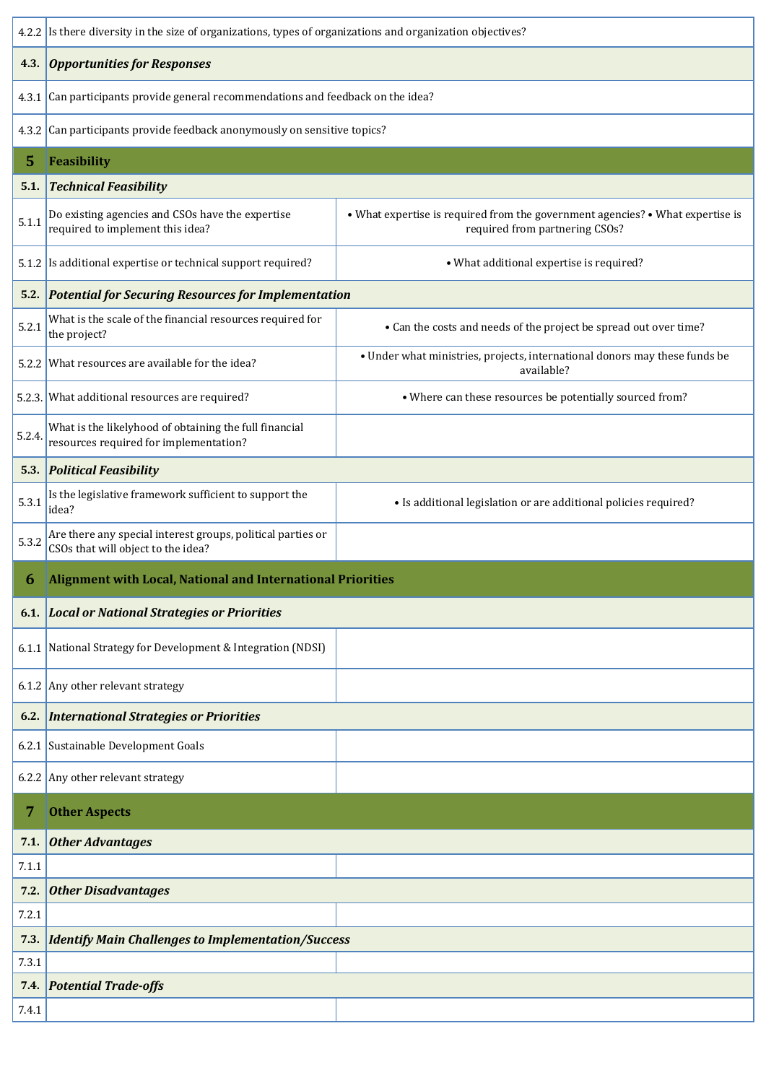|        | 4.2.2 Is there diversity in the size of organizations, types of organizations and organization objectives? |                                                                                                                  |  |  |  |  |
|--------|------------------------------------------------------------------------------------------------------------|------------------------------------------------------------------------------------------------------------------|--|--|--|--|
| 4.3.   | <b>Opportunities for Responses</b>                                                                         |                                                                                                                  |  |  |  |  |
|        | 4.3.1 Can participants provide general recommendations and feedback on the idea?                           |                                                                                                                  |  |  |  |  |
|        | 4.3.2 Can participants provide feedback anonymously on sensitive topics?                                   |                                                                                                                  |  |  |  |  |
| 5      | Feasibility                                                                                                |                                                                                                                  |  |  |  |  |
| 5.1.   | <b>Technical Feasibility</b>                                                                               |                                                                                                                  |  |  |  |  |
| 5.1.1  | Do existing agencies and CSOs have the expertise<br>required to implement this idea?                       | • What expertise is required from the government agencies? • What expertise is<br>required from partnering CSOs? |  |  |  |  |
|        | 5.1.2 Is additional expertise or technical support required?                                               | • What additional expertise is required?                                                                         |  |  |  |  |
|        | 5.2. Potential for Securing Resources for Implementation                                                   |                                                                                                                  |  |  |  |  |
| 5.2.1  | What is the scale of the financial resources required for<br>the project?                                  | • Can the costs and needs of the project be spread out over time?                                                |  |  |  |  |
|        | 5.2.2 What resources are available for the idea?                                                           | • Under what ministries, projects, international donors may these funds be<br>available?                         |  |  |  |  |
|        | 5.2.3. What additional resources are required?                                                             | • Where can these resources be potentially sourced from?                                                         |  |  |  |  |
| 5.2.4. | What is the likelyhood of obtaining the full financial<br>resources required for implementation?           |                                                                                                                  |  |  |  |  |
| 5.3.   | <b>Political Feasibility</b>                                                                               |                                                                                                                  |  |  |  |  |
| 5.3.1  | Is the legislative framework sufficient to support the<br>idea?                                            | • Is additional legislation or are additional policies required?                                                 |  |  |  |  |
| 5.3.2  | Are there any special interest groups, political parties or<br>CSOs that will object to the idea?          |                                                                                                                  |  |  |  |  |
| 6      | <b>Alignment with Local, National and International Priorities</b>                                         |                                                                                                                  |  |  |  |  |
| 6.1.   | <b>Local or National Strategies or Priorities</b>                                                          |                                                                                                                  |  |  |  |  |
|        | 6.1.1 National Strategy for Development & Integration (NDSI)                                               |                                                                                                                  |  |  |  |  |
|        | 6.1.2 Any other relevant strategy                                                                          |                                                                                                                  |  |  |  |  |
| 6.2.   | <b>International Strategies or Priorities</b>                                                              |                                                                                                                  |  |  |  |  |
|        | 6.2.1 Sustainable Development Goals                                                                        |                                                                                                                  |  |  |  |  |
|        | 6.2.2 Any other relevant strategy                                                                          |                                                                                                                  |  |  |  |  |
|        | <b>Other Aspects</b>                                                                                       |                                                                                                                  |  |  |  |  |
| 7.1.   | Other Advantages                                                                                           |                                                                                                                  |  |  |  |  |
| 7.1.1  |                                                                                                            |                                                                                                                  |  |  |  |  |
| 7.2.   | <b>Other Disadvantages</b>                                                                                 |                                                                                                                  |  |  |  |  |
| 7.2.1  |                                                                                                            |                                                                                                                  |  |  |  |  |
| 7.3.   | <b>Identify Main Challenges to Implementation/Success</b>                                                  |                                                                                                                  |  |  |  |  |
| 7.3.1  |                                                                                                            |                                                                                                                  |  |  |  |  |
| 7.4.   | <b>Potential Trade-offs</b>                                                                                |                                                                                                                  |  |  |  |  |
| 7.4.1  |                                                                                                            |                                                                                                                  |  |  |  |  |